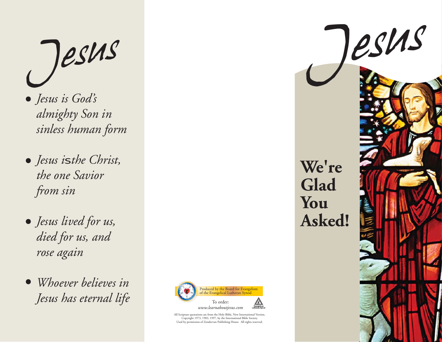- *Jesus is God's almighty Son in sinless human form*
- *Jesus is the Christ, the one Savior from sin*
- *Jesus lived for us, died for us, and rose again*
- *Whoever believes in Jesus has eternal life*



All Scripture quotations are from the Holy Bible, New International Version, Copyright 1973, 1983, 1997, by the International Bible Society. Used by permission of Zondervan Publishing House. All rights reserved.

**We're Glad You Asked!**